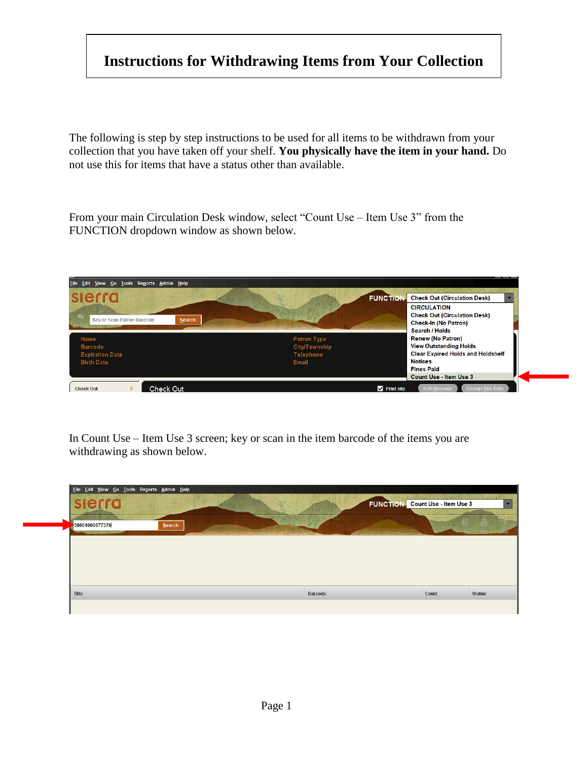## **Instructions for Withdrawing Items from Your Collection**

The following is step by step instructions to be used for all items to be withdrawn from your collection that you have taken off your shelf. **You physically have the item in your hand.** Do not use this for items that have a status other than available.

From your main Circulation Desk window, select "Count Use – Item Use 3" from the FUNCTION dropdown window as shown below.



In Count Use – Item Use 3 screen; key or scan in the item barcode of the items you are withdrawing as shown below.

| Eile Edit View Go Tools Reports Admin Help |        |         |                                        |
|--------------------------------------------|--------|---------|----------------------------------------|
| slerra                                     |        |         | <b>FUNCTION</b> Count Use - Item Use 3 |
| 36601000677370                             | Search |         |                                        |
|                                            |        |         |                                        |
|                                            |        |         |                                        |
| Title                                      |        | Barcode | Count<br><b>Status</b>                 |
|                                            |        |         |                                        |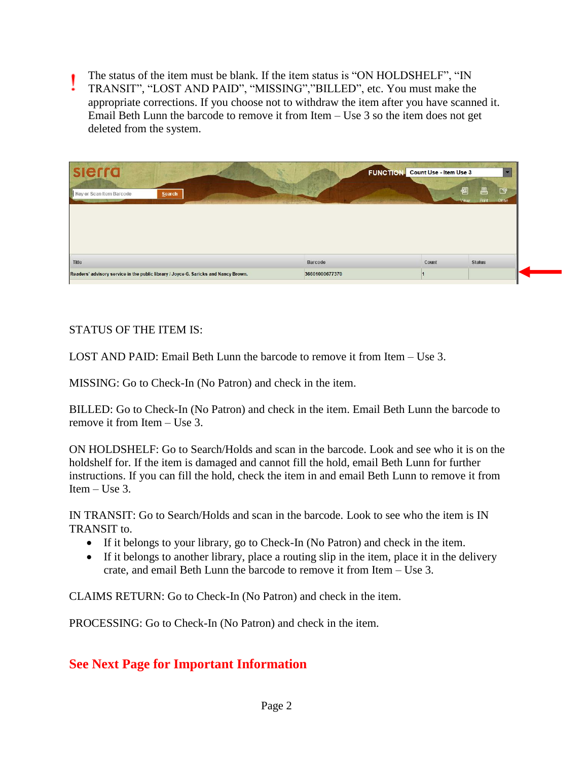- The status of the item must be blank. If the item status is "ON HOLDSHELF", "IN
- TRANSIT", "LOST AND PAID", "MISSING","BILLED", etc. You must make the appropriate corrections. If you choose not to withdraw the item after you have scanned it. Email Beth Lunn the barcode to remove it from Item – Use 3 so the item does not get deleted from the system.

| sierra                                                                              |                | <b>FUNCTION-</b><br>Count Use - Item Use 3 |                                               |
|-------------------------------------------------------------------------------------|----------------|--------------------------------------------|-----------------------------------------------|
| Key or Scan Item Barcode<br>Search                                                  |                |                                            | 图<br>昌<br>D9<br>Print<br><b>View</b><br>Close |
|                                                                                     |                |                                            |                                               |
|                                                                                     |                |                                            |                                               |
| Title                                                                               | <b>Barcode</b> | Count                                      | <b>Status</b>                                 |
| Readers' advisory service in the public library / Joyce G. Saricks and Nancy Brown. | 36601000677370 |                                            |                                               |

STATUS OF THE ITEM IS:

LOST AND PAID: Email Beth Lunn the barcode to remove it from Item – Use 3.

MISSING: Go to Check-In (No Patron) and check in the item.

BILLED: Go to Check-In (No Patron) and check in the item. Email Beth Lunn the barcode to remove it from Item – Use 3.

ON HOLDSHELF: Go to Search/Holds and scan in the barcode. Look and see who it is on the holdshelf for. If the item is damaged and cannot fill the hold, email Beth Lunn for further instructions. If you can fill the hold, check the item in and email Beth Lunn to remove it from Item  $-$  Use 3.

IN TRANSIT: Go to Search/Holds and scan in the barcode. Look to see who the item is IN TRANSIT to.

- If it belongs to your library, go to Check-In (No Patron) and check in the item.
- If it belongs to another library, place a routing slip in the item, place it in the delivery crate, and email Beth Lunn the barcode to remove it from Item – Use 3.

CLAIMS RETURN: Go to Check-In (No Patron) and check in the item.

PROCESSING: Go to Check-In (No Patron) and check in the item.

## **See Next Page for Important Information**